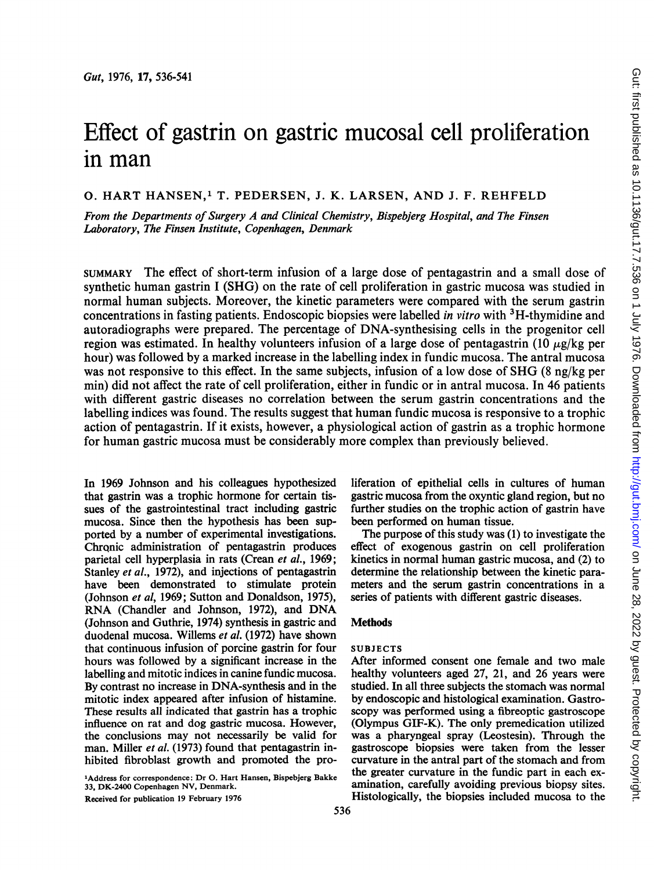Gut, 1976, 17, 536-541

# Effect of gastrin on gastric mucosal cell proliferation in man

0. HART HANSEN,' T. PEDERSEN, J. K. LARSEN, AND J. F. REHFELD

From the Departments of Surgery A and Clinical Chemistry, Bispebjerg Hospital, and The Finsen Laboratory, The Finsen Institute, Copenhagen, Denmark

SUMMARY The effect of short-term infusion of a large dose of pentagastrin and a small dose of synthetic human gastrin <sup>I</sup> (SHG) on the rate of cell proliferation in gastric mucosa was studied in normal human subjects. Moreover, the kinetic parameters were compared with the serum gastrin concentrations in fasting patients. Endoscopic biopsies were labelled *in vitro* with <sup>3</sup>H-thymidine and autoradiographs were prepared. The percentage of DNA-synthesising cells in the progenitor cell region was estimated. In healthy volunteers infusion of a large dose of pentagastrin (10  $\mu$ g/kg per hour) was followed by a marked increase in the labelling index in fundic mucosa. The antral mucosa was not responsive to this effect. In the same subjects, infusion of a low dose of SHG (8 ng/kg per min) did not affect the rate of cell proliferation, either in fundic or in antral mucosa. In 46 patients with different gastric diseases no correlation between the serum gastrin concentrations and the labelling indices was found. The results suggest that human fundic mucosa is responsive to a trophic action of pentagastrin. If it exists, however, a physiological action of gastrin as a trophic hormone for human gastric mucosa must be considerably more complex than previously believed.

In 1969 Johnson and his colleagues hypothesized that gastrin was a trophic hormone for certain tissues of the gastrointestinal tract including gastric mucosa. Since then the hypothesis has been supported by a number of experimental investigations. Chronic administration of pentagastrin produces parietal cell hyperplasia in rats (Crean et al., 1969; Stanley et al., 1972), and injections of pentagastrin have been demonstrated to stimulate protein (Johnson et al, 1969; Sutton and Donaldson, 1975), RNA (Chandler and Johnson, 1972), and DNA (Johnson and Guthrie, 1974) synthesis in gastric and duodenal mucosa. Willems et al. (1972) have shown that continuous infusion of porcine gastrin for four hours was followed by a significant increase in the labelling and mitotic indices in canine fundic mucosa. By contrast no increase in DNA-synthesis and in the mitotic index appeared after infusion of histamine. These results all indicated that gastrin has a trophic influence on rat and dog gastric mucosa. However, the conclusions may not necessarily be valid for man. Miller et al. (1973) found that pentagastrin inhibited fibroblast growth and promoted the pro-

'Address for correspondence: Dr 0. Hart Hansen, Bispebjerg Bakke 33, DK-2400 Copenhagen NV, Denmark.

Received for publication 19 February 1976

liferation of epithelial cells in cultures of human gastric mucosa from the oxyntic gland region, but no further studies on the trophic action of gastrin have been performed on human tissue.

The purpose of this study was (1) to investigate the effect of exogenous gastrin on cell proliferation kinetics in normal human gastric mucosa, and (2) to determine the relationship between the kinetic parameters and the serum gastrin concentrations in a series of patients with different gastric diseases.

# Methods

# SUBJECTS

After informed consent one female and two male healthy volunteers aged 27, 21, and 26 years were studied. In all three subjects the stomach was normal by endoscopic and histological examination. Gastroscopy was performed using a fibreoptic gastroscope (Olympus GIF-K). The only premedication utilized was a pharyngeal spray (Leostesin). Through the gastroscope biopsies were taken from the lesser curvature in the antral part of the stomach and from the greater curvature in the fundic part in each examination, carefully avoiding previous biopsy sites. Histologically, the biopsies included mucosa to the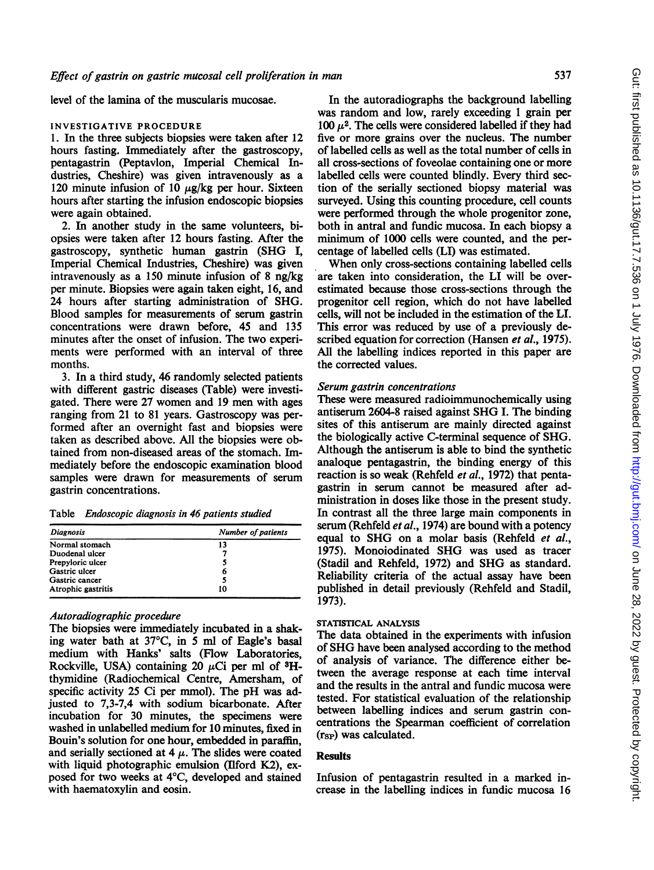level of the lamina of the muscularis mucosae.

#### INVESTIGATIVE PROCEDURE

1. In the three subjects biopsies were taken after 12 hours fasting. Immediately after the gastroscopy, pentagastrin (Peptavlon, Imperial Chemical Industries, Cheshire) was given intravenously as a 120 minute infusion of 10  $\mu$ g/kg per hour. Sixteen hours after starting the infusion endoscopic biopsies were again obtained.

2. In another study in the same volunteers, biopsies were taken after 12 hours fasting. After the gastroscopy, synthetic human gastrin (SHG I, Imperial Chemical Industries, Cheshire) was given intravenously as a 150 minute infusion of 8 ng/kg per minute. Biopsies were again taken eight, 16, and 24 hours after starting administration of SHG. Blood samples for measurements of serum gastrin concentrations were drawn before, 45 and 135 minutes after the onset of infusion. The two experiments were performed with an interval of three months.

3. In a third study, 46 randomly selected patients with different gastric diseases (Table) were investigated. There were 27 women and 19 men with ages ranging from 21 to 81 years. Gastroscopy was performed after an overnight fast and biopsies were taken as described above. All the biopsies were obtained from non-diseased areas of the stomach. Immediately before the endoscopic examination blood samples were drawn for measurements of serum gastrin concentrations.

Table Endoscopic diagnosis in 46 patients studied

| Number of patients |
|--------------------|
| 13                 |
|                    |
|                    |
| 6                  |
|                    |
| 10                 |
|                    |

# Autoradiographic procedure

The biopsies were immediately incubated in a shaking water bath at 37°C, in 5 ml of Eagle's basal medium with Hanks' salts (Flow Laboratories, Rockville, USA) containing 20  $\mu$ Ci per ml of <sup>3</sup>Hthymidine (Radiochemical Centre, Amersham, of specific activity 25 Ci per mmol). The pH was adjusted to 7,3-7,4 with sodium bicarbonate. After incubation for 30 minutes, the specimens were washed in unlabelled medium for 10 minutes, fixed in Bouin's solution for one hour, embedded in paraffin, and serially sectioned at  $4 \mu$ . The slides were coated with liquid photographic emulsion (Ilford K2), exposed for two weeks at 4°C, developed and stained with haematoxylin and eosin.

In the autoradiographs the background labelling was random and low, rarely exceeding <sup>1</sup> grain per 100  $\mu^2$ . The cells were considered labelled if they had five or more grains over the nucleus. The number of labelled cells as well as the total number of cells in all cross-sections of foveolae containing one or more labelled cells were counted blindly. Every third section of the serially sectioned biopsy material was surveyed. Using this counting procedure, cell counts were performed through the whole progenitor zone, both in antral and fundic mucosa. In each biopsy a minimum of 1000 cells were counted, and the percentage of labelled cells (LI) was estimated.

When only cross-sections containing labelled cells are taken into consideration, the LI will be overestimated because those cross-sections through the progenitor cell region, which do not have labelled cells, will not be included in the estimation of the LI. This error was reduced by use of a previously described equation for correction (Hansen *et al.*, 1975). All the labelling indices reported in this paper are the corrected values.

## Serum gastrin concentrations

These were measured radioimmunochemically using antiserum 2604-8 raised against SHG I. The binding sites of this antiserum are mainly directed against the biologically active C-terminal sequence of SHG. Although the antiserum is able to bind the synthetic analoque pentagastrin, the binding energy of this reaction is so weak (Rehfeld *et al.*, 1972) that pentagastrin in serum cannot be measured after administration in doses like those in the present study. In contrast all the three large main components in serum (Rehfeld et al., 1974) are bound with a potency equal to SHG on <sup>a</sup> molar basis (Rehfeld et al., 1975). Monoiodinated SHG was used as tracer (Stadil and Rehfeld, 1972) and SHG as standard. Reliability criteria of the actual assay have been published in detail previously (Rehfeld and Stadil, 1973).

## STATISTICAL ANALYSIS

The data obtained in the experiments with infusion of SHG have been analysed according to the method of analysis of variance. The difference either between the average response at each time interval and the results in the antral and fundic mucosa were tested. For statistical evaluation of the relationship between labelling indices and serum gastrin concentrations the Spearman coefficient of correlation (rsp) was calculated.

## **Results**

Infusion of pentagastrin resulted in a marked increase in the labelling indices in fundic mucosa 16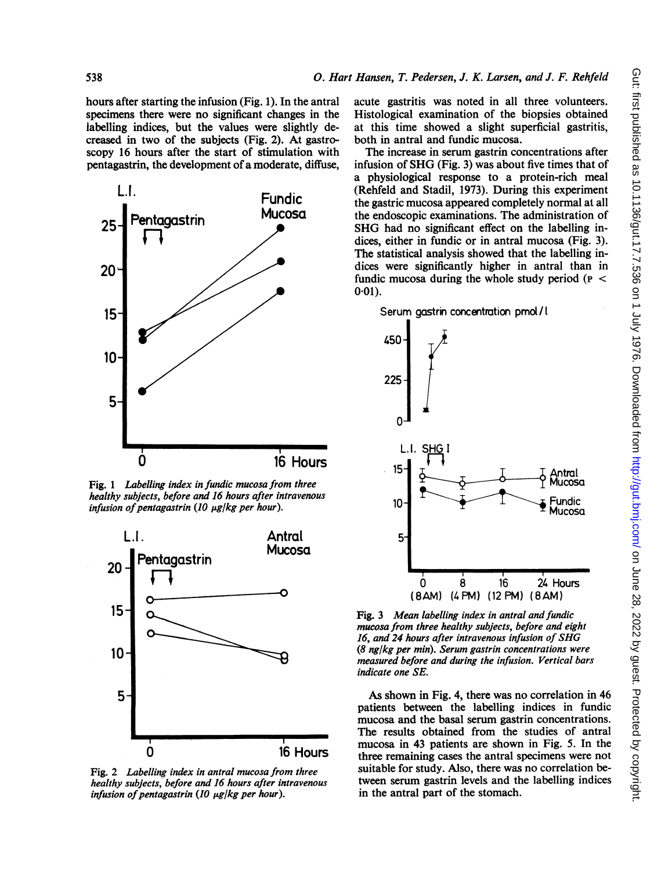hours after starting the infusion (Fig. 1). In the antral specimens there were no significant changes in the labelling indices, but the values were slightly decreased in two of the subjects (Fig. 2). At gastroscopy 16 hours after the start of stimulation with pentagastrin, the development of a moderate, diffuse,



Fig. 1 Labelling index in fundic mucosa from three healthy subjects, before and 16 hours after intravenous infusion of pentagastrin (10  $\mu$ g/kg per hour).



Fig. 2 Labelling index in antral mucosa from three healthy subjects, before and 16 hours after intravenous infusion of pentagastrin (10  $\mu$ g/kg per hour).

acute gastritis was noted in all three volunteers. Histological examination of the biopsies obtained at this time showed a slight superficial gastritis, both in antral and fundic mucosa.

The increase in serum gastrin concentrations after infusion of SHG (Fig. 3) was about five times that of a physiological response to a protein-rich meal (Rehfeld and Stadil, 1973). During this experiment the gastric mucosa appeared completely normal at all the endoscopic examinations. The administration of SHG had no significant effect on the labelling indices, either in fundic or in antral mucosa (Fig. 3). The statistical analysis showed that the labelling indices were significantly higher in antral than in fundic mucosa during the whole study period ( $p <$  $0.01$ ).

Serum gastrin concentration pmol/l



Fig. 3 Mean labelling index in antral and fundic mucosa from three healthy subjects, before and eight 16, and 24 hours after intravenous infusion of SHG  $(8 \text{ ng/kg per min})$ . Serum gastrin concentrations were measured before and during the infusion. Vertical bars indicate one SE.

As shown in Fig. 4, there was no correlation in 46 patients between the labelling indices in fundic mucosa and the basal serum gastrin concentrations. The results obtained from the studies of antral mucosa in 43 patients are shown in Fig. 5. In the 16 Hours three remaining cases the antral specimens were not suitable for study. Also, there was no correlation between serum gastrin levels and the labelling indices in the antral part of the stomach.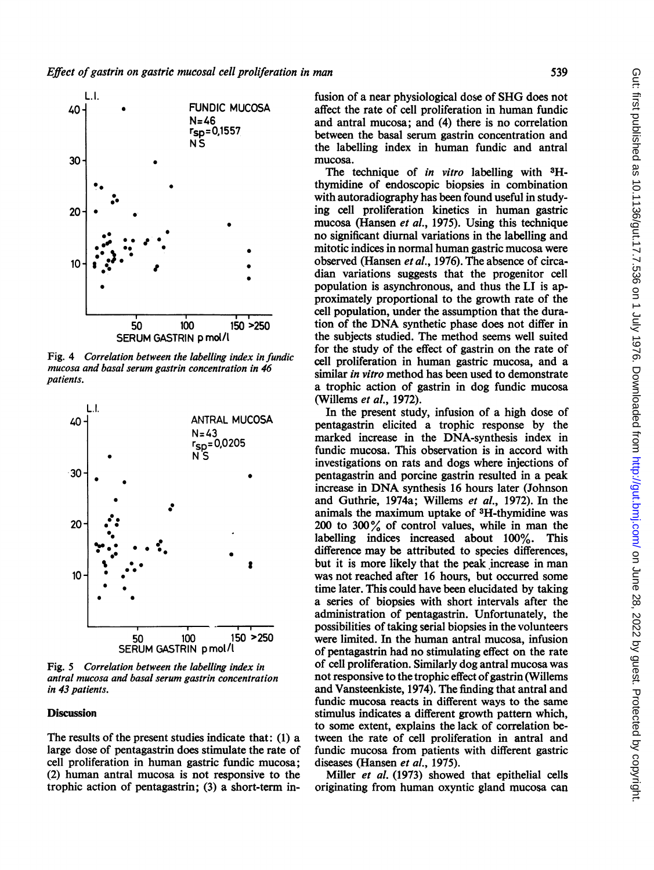

Fig. 4 Correlation between the labelling index in fundic mucosa and basal serum gastrin concentration in 46 patients.



Fig. 5 Correlation between the labelling index in antral mucosa and basal serum gastrin concentration in 43 patients.

## **Discussion**

The results of the present studies indicate that: (1) a large dose of pentagastrin does stimulate the rate of cell proliferation in human gastric fundic mucosa; (2) human antral mucosa is not responsive to the trophic action of pentagastrin; (3) a short-term infusion of <sup>a</sup> near physiological dose of SHG does not affect the rate of cell proliferation in human fundic and antral mucosa; and (4) there is no correlation between the basal serum gastrin concentration and the labelling index in human fundic and antral mucosa.

The technique of in vitro labelling with <sup>3</sup>Hthymidine of endoscopic biopsies in combination with autoradiography has been found useful in studying cell proliferation kinetics in human gastric mucosa (Hansen *et al.*, 1975). Using this technique no significant diurnal variations in the labelling and mitotic indices in normal human gastric mucosa were observed (Hansen et al., 1976). The absence of circadian variations suggests that the progenitor cell population is asynchronous, and thus the LI is approximately proportional to the growth rate of the cell population, under the assumption that the duration of the DNA synthetic phase does not differ in the subjects studied. The method seems well suited for the study of the effect of gastrin on the rate of cell proliferation in human gastric mucosa, and a similar in vitro method has been used to demonstrate a trophic action of gastrin in dog fundic mucosa (Willems et al., 1972).

In the present study, infusion of a high dose of pentagastrin elicited a trophic response by the marked increase in the DNA-synthesis index in fundic mucosa. This observation is in accord with investigations on rats and dogs where injections of pentagastrin and porcine gastrin resulted in a peak increase in DNA synthesis <sup>16</sup> hours later (Johnson and Guthrie, 1974a; Willems et al., 1972). In the animals the maximum uptake of 3H-thymidine was 200 to 300% of control values, while in man the labelling indices increased about 100%. This difference may be attributed to species differences, but it is more likely that the peak increase in man was not reached after 16 hours, but occurred some time later. This could have been elucidated by taking a series of biopsies with short intervals after the administration of pentagastrin. Unfortunately, the possibilities of taking serial biopsies in the volunteers were limited. In the human antral mucosa, infusion of pentagastrin had no stimulating effect on the rate of cell proliferation. Similarly dog antral mucosa was not responsive to the trophic effect of gastrin (Willems and Vansteenkiste, 1974). The finding that antral and fundic mucosa reacts in different ways to the same stimulus indicates a different growth pattern which, to some extent, explains the lack of correlation between the rate of cell proliferation in antral and fundic mucosa from patients with different gastric diseases (Hansen et al., 1975).

Miller *et al.* (1973) showed that epithelial cells originating from human oxyntic gland mucosa can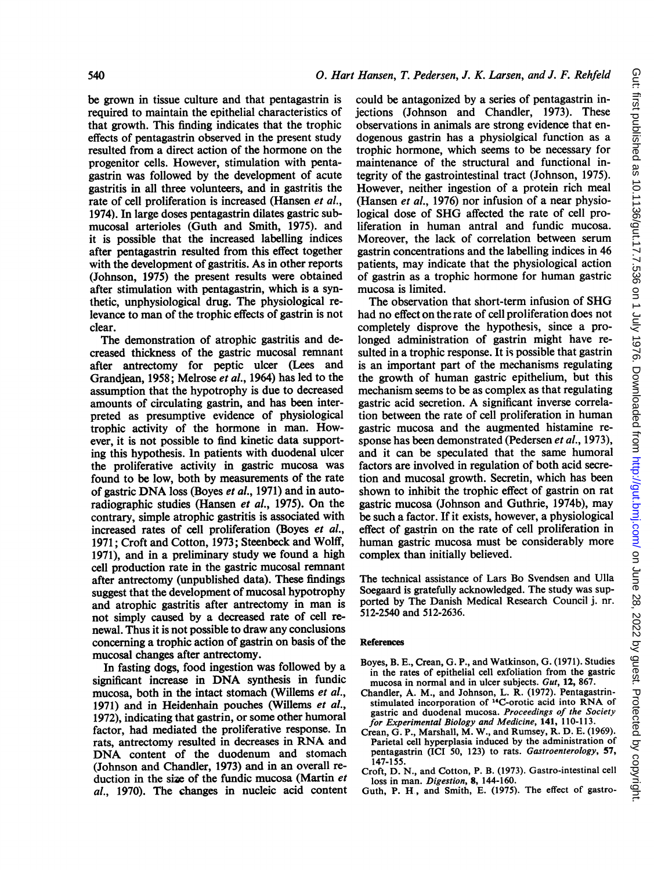be grown in tissue culture and that pentagastrin is required to maintain the epithelial characteristics of that growth. This finding indicates that the trophic effects of pentagastrin observed in the present study resulted from a direct action of the hormone on the progenitor cells. However, stimulation with pentagastrin was followed by the development of acute gastritis in all three volunteers, and in gastritis the rate of cell proliferation is increased (Hansen et al., 1974). In large doses pentagastrin dilates gastric submucosal arterioles (Guth and Smith, 1975). and it is possible that the increased labelling indices after pentagastrin resulted from this effect together with the development of gastritis. As in other reports (Johnson, 1975) the present results were obtained after stimulation with pentagastrin, which is a synthetic, unphysiological drug. The physiological relevance to man of the trophic effects of gastrin is not clear.

The demonstration of atrophic gastritis and decreased thickness of the gastric mucosal remnant after antrectomy for peptic ulcer (Lees and Grandjean, 1958; Melrose et al., 1964) has led to the assumption that the hypotrophy is due to decreased amounts of circulating gastrin, and has been interpreted as presumptive evidence of physiological trophic activity of the hormone in man. However, it is not possible to find kinetic data supporting this hypothesis. In patients with duodenal ulcer the proliferative activity in gastric mucosa was found to be low, both by measurements of the rate of gastric DNA loss (Boyes et al., 1971) and in autoradiographic studies (Hansen et al., 1975). On the contrary, simple atrophic gastritis is associated with increased rates of cell proliferation (Boyes et al., 1971; Croft and Cotton, 1973; Steenbeck and Wolff, 1971), and in a preliminary study we found a high cell production rate in the gastric mucosal remnant after antrectomy (unpublished data). These findings suggest that the development of mucosal hypotrophy and atrophic gastritis after antrectomy in man is not simply caused by a decreased rate of cell renewal. Thus it is not possible to draw any conclusions concerning a trophic action of gastrin on basis of the mucosal changes after antrectomy.

In fasting dogs, food ingestion was followed by a significant increase in DNA synthesis in fundic mucosa, both in the intact stomach (Willems et al., 1971) and in Heidenhain pouches (Willems et al., 1972), indicating that gastrin, or some other humoral factor, had mediated the proliferative response. In rats, antrectomy resulted in decreases in RNA and DNA content of the duodenum and stomach (Johnson and Chandler, 1973) and in an overall reduction in the size of the fundic mucosa (Martin et al., 1970). The changes in nucleic acid content

could be antagonized by a series of pentagastrin injections (Johnson and Chandler, 1973). These observations in animals are strong evidence that endogenous gastrin has a physiolgical function as a trophic hormone, which seems to be necessary for maintenance of the structural and functional integrity of the gastrointestinal tract (Johnson, 1975). However, neither ingestion of a protein rich meal (Hansen et al., 1976) nor infusion of a near physiological dose of SHG affected the rate of cell proliferation in human antral and fundic mucosa. Moreover, the lack of correlation between serum gastrin concentrations and the labelling indices in 46 patients, may indicate that the physiological action of gastrin as a trophic hormone for human gastric mucosa is limited.

The observation that short-term infusion of SHG had no effect on the rate of cell proliferation does not completely disprove the hypothesis, since a prolonged administration of gastrin might have resulted in a trophic response. It is possible that gastrin is an important part of the mechanisms regulating the growth of human gastric epithelium, but this mechanism seems to be as complex as that regulating gastric acid secretion. A significant inverse correlation between the rate of cell proliferation in human gastric mucosa and the augmented histamine response has been demonstrated (Pedersen et al., 1973), and it can be speculated that the same humoral factors are involved in regulation of both acid secretion and mucosal growth. Secretin, which has been shown to inhibit the trophic effect of gastrin on rat gastric mucosa (Johnson and Guthrie, 1974b), may be such a factor. If it exists, however, a physiological effect of gastrin on the rate of cell proliferation in human gastric mucosa must be considerably more complex than initially believed.

The technical assistance of Lars Bo Svendsen and Ulla Soegaard is gratefully acknowledged. The study was supported by The Danish Medical Research Council j. nr. 512-2540 and 512-2636.

#### References

- Boyes, B. E., Crean, G. P., and Watkinson, G. (1971). Studies in the rates of epithelial cell exfoliation from the gastric mucosa in normal and in ulcer subjects. Gut, 12, 867.
- Chandler, A. M., and Johnson, L. R. (1972). Pentagastrinstimulated incorporation of 14C-orotic acid into RNA of gastric and duodenal mucosa. Proceedings of the Society for Experimental Biology and Medicine, 141, 110-113.
- Crean, G. P., Marshall, M. W., and Rumsey, R. D. E. (1969). Parietal cell hyperplasia induced by the administration of pentagastrin (ICI 50, 123) to rats. Gastroenterology, 57, 147-155.
- Croft, D. N., and Cotton, P. B. (1973). Gastro-intestinal cell loss in man. Digestion, 8, 144-160.
- Guth, P. H, and Smith, E. (1975). The effect of gastro-